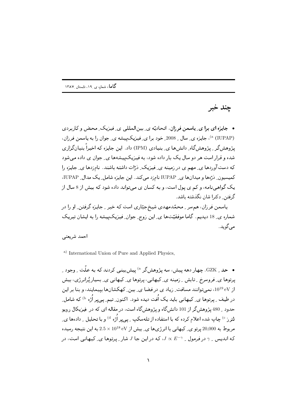چند خبر

• جایزه ای برا ی ِ پاسمن فرزان. اتحادیّه ی ِ بینالمللی ی ِ فیزیک ِ محض و کاربردی <sup>(a</sup> (IUPAP))، جایزه ی ِ سال 2005 خود برا ی ِ فیزیک پیشه ی ِ جوان را به پاسمن فرزان، پژوهش گر په ژوهش گاه ِ دانش ها ي ِ بنيادي (IPM) داد. اين جايزه كه اخيراً بنيان گزاري شده و قرار است هر دو سال یک بار داده شود، به فیزیکپیشهها ی ِ جوان ی داده می شود که دستآوردها ی ِ مهم ی در زمینه ی ِ فیزیک ِ دْرَّات داشته باشند. نامزدها ی ِ جایزه را کمیسیون ِ درّهها و میدانها ی ِ IUPAP نامزد می کند. این جایزه شامل ِ یک مدال ِ IUPAP، یک گواهی نامه، و کم ی پول است، و به کسان ی می تواند داده شود که بیش از 8 سال از گرفتن ٍ دکترا شان نگذشته باشد.

یاسمن فرزان، هم سر ِ محمّدمهدی شیخ جبّاری است که خبر ِ جایـزه گرفتن ِ او را در شماره ی ِ 18 دیدیم. گاما موفقیّتها ی ِ این زوج ِ جوان ِ فیزیکپیشه را به ایشان تبریک مے گوید.

## احمد شريعتي

<sup>a)</sup> International Union of Pure and Applied Physics,

• حد \_ GZK. چهار دهه پیش، سه پژوهشگر <sup>۵</sup> پیش بینبی کردند که به علّت \_ وجود \_ پرتوها ی ِ فروسرخ ۔ِ تابش ۔ِ زمینه ی ِ کیهانی، پرتوها ی ِ کیهانی ی ِ بسیار پُرانرژی، بیش از eV، نمیتوانند مسافت ِ زیاد ی در فضا ی ِ بین ِ کهکشانها بییمایند، و بنا بر این در طیف ¸ پرتوها ی ِ کیهانی باید یک اُفت دیده شود. اکنون ِ تیم ِ پی پر اُژه <sup>b)</sup> که شامل ِ حدود به 480 پژوهش گر از 101 دانش گاه و پژوهش گاه است، در مقاله ای که در پفیزیکال رویو لترز °′ چاپ شده اعلام کرده که با استفاده از تلهسکپ په پیر اُژه <sup>d</sup>) و با تحلیل په دادهها ی مربوط به 20,000 پرتو ی ِ کیهانی با انرژی ها ی ِ بیش از s × 10<sup>18</sup> د 2.5 به این نتیجه رسیده که اندیس به در فرمول ب $\sigma \propto E^{-\gamma}$ ، که در این جا J شار بیرتوها ی ِکیهانی است، در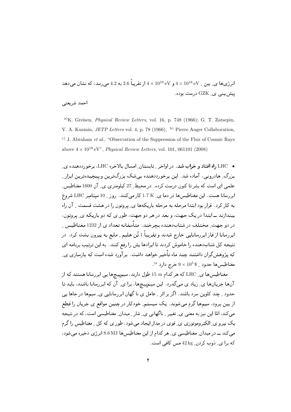انرژیها ی ِ بین ِ V $4\times10^{18}\,{\rm eV}$  و V $\times10^{19}\,{\rm eV}$   $4\times10^{18}\,{\rm eV}$  به  $4.2$  می $\mu$ سد، که نشان می ييش.بيني ي\_ GZK درست بوده.

احمد شريعتي

a)K. Greisen, *Physical Review Letters*, vol. 16, p. 748 (1966); G. T. Zatsepin, V. A. Kuzmin, *JETP Letters* vol. 4, p. 78 (1966), b) Pierre Auger Collaboration, c) J. Abraham *et al.*, "Observation of the Suppression of the Flux of Cosmic Rays above  $4 \times 10^{19}$  eV", *Physical Review Letters*, vol. 101, 061101 (2008)

• LHC راه افتاد و خراب شد. در اواخر ِ تابستان ِ امسال بالأخره LHC، برخورددهنده ی ِ  \$2 W ! X 
/ \$2 ( +-- " \*2 / \$- 9 - - + X علمی ای است که بشر تا کنون درست کرده. در محیط ِ 27 کیلومتری ی ِ ان 1600 مغناطیس ِ ابررسانا هست. این مغناطیس ها در دما ی ِ £ 1.7 کار میکنند. روز ِ 10 سپتامبر LHC شروع \$ 9  0;1 0 + - !  +J C C 24 - 1 \*- ان المستخدمات المستخدمات المستخدمات المستخدمات المستخدمات المستخدمات المستخدمات المستخدمات المستخدمات المستخدمات در دو جهت ِ مختلف در شتابِدهنده بچرخند. متاسفانه تعداد ی از 1232 مغناطیس ِ ابررسانا از فاز ابررسانایی خارج شدند و تقریبا 1 تَن هلیم ِ مایع به بیرون نشت کرد. در - السابق المسافرة المسافرة المسافرة المسافرة المسافرة المسافرة المسافرة المسافرة المسافرة المسافرة المسافرة ال که پژوهش گران داشتند چند ماه تاخیر خواهد داشت. بر آورد شده است که بازسازی ی  $^{(\rm a}$  مغناطیس ها حدود  $~\rm 10^5$   $\rm \times$  9 خرج دارد

مغناطیس ها ی LHC که هر کدام m 15 طول دارند، سیم پیچ ها یی ابر رسانا هستند که از آنها جریانها ی ِ زیاد ی میگذرد. این سیمییچها، برا ی ِ آن که ابر رسانا باشند، باید تا حدود ۔ چند کلوین سرد باشند. اگر بر اثر ۔ِ عامل ی نا گھان ابر رسانایی ی ِ سیمھا در جاھا پی از بین برود، سیمها گرم می شوند. یک سیستم ِ خودکار در چنین مواقع ی جریان را قطع میکند، امّا این نیز به معنی ی ِ تغییر ِ ناگهانی ی ِ شار ِ میدان ِ مغناطیسی است، که در نتیجه یک نیر و ی ِ الکتر وموتوری ی ِ قوی در مدار ایجاد می شود، طور ی که کل ِ مغناطیس را گرم می کند ـــ در میدان ِ مغناطیسی ی ِ هر کدام از این مغناطیس ها 8.6 MJ انرژی دخیره می شود، که برا ی ِ دُوب کردن ِ 42 kg مس کافی است.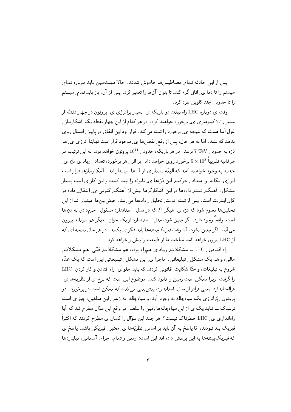يس از اين حادثه تمام ِ مغناطيس ها خاموش شدند. حالا مهندسين بايد دوباره تمام ِ سیستم را تا دما ی ِ اتاق گرم کنند تا بتوان آنها را تعمیر کرد. پس از آن، باز باید تمام ِ سیستم را تا حدود \_ چند کلوين سرد کرد.

وقت ی دوباره LHC راه بیفتد دو باریکه ی بسیار پرانرژی ی پروتون در چهار نقطه از مسیر ِ 27 کیلومتری ی ِ برخورد خواهند کرد. در هر کدام از این چهار نقطه یک آشکارساز ِ غول آسا هست که نتیجه ی ِ برخورد را ثبت می کند. قرار بود این اتفاق در پاییز ِ امسال روی بدهد که نشد. امّا به هر حال، پس از رفع ِ نقصها ی ِ موجود قراراست نهایتاً انرژی ی ِ هر ذرّه به حدود <sub>-</sub> TeV 7 برسد. در هر باریکه، حدود <sub>-</sub> 10<sup>11</sup> پروتون خواهد بود. به این ترتیب در هر ثانیه تقریباً 5 × 10 برخورد روی خواهد داد. بر اثر <sub>-</sub> هر برخورد، تعداد <sub>-</sub> زیاد ی ذرّه ی ِ جدید به وجود خواهند آمد که البتّه بسیار ی از آنها ناپایدار اند. آشکارسازها قرار است انر ژی، تکانه، و امتداد په حرکت ِ این ذرّهها ی ِ ثانویّه را ثبت کنند، و این کار ی است بسیار مشکل. آهنگ ِ ثبت ِ دادهها در این آشکارگرها بیش از آهنگ ِ کنونی ی ِ انتقال ِ داده در کل ِ اینترنت است. پس از ثبت، نوبت ِ تحلیل ِ دادهها می رسد. خوش بینها امیدوار اند از این تحلیلها معلوم شود که درّه ی ِ هیگز <sup>b)</sup>، که در مدل ِ استاندارد مسئول ِ جرمدادن به درّهها است، واقعاً وجود دارد. اگر چنین شود، مدل ِ استاندارد از یک خوان ِ دیگر هم سربلند بیرون می آید. اگر چنین نشود، آن وقت فیزیکپیشهها باید فکر ی بکنند. در هر حال نتیجه ای که از LHC بیرون خواهد آمد شناخت ما از طبیعت را بیش تر خواهد کرد.

راه افتادن \_ LHC با مشكلات ِ زياد ي همراه بوده، هم مشكلات ِ فنّيي، هم مشكلات ِ مالی، و هم یک مشکل ِ تبلیغاتی ِ. ماجرا ی ِ این مشکل ِ تبلیغاتی این است که یک عدّه شروع به تبلیغات، و حتّا شکایت ِ قانونی کردند که باید جلو ی ِ راه افتادن و کار کردن ِ LHC را گرفت، زیرا ممکن است زمین را نابود کند. موضوع این است که برخ ی از نظریهها ی ِ فرااِستاندارد، یعنی فراتر از مدل ِ استاندارد، پیش بینی می کنند که ممکن است در برخورد ـ دو پروتون ۔ پُرانرژی یک سیاهچاله به وجود آید، وسیاهچاله، به زعم ِ این مبلغین، چیز ی است ترسناک ـــ شاید یک ی از این سیاهچالهها زمین را ببلعد! در واقع این سؤال مطرح شد که آیا راهاندازی ی ِ LHC خطرناک نیست؟ هر چند این سؤال را کسان ی مطرح کردند که اکثراً فیزیک بلد نبودند، امّا پاسخ به آن باید بر اساس ِ نظریّهها ی ِ معتبر ِ فیزیکی باشد. پاسخ ی که فیبزیکپیشهها به این پرسش داده اند این است: زمین و تمام ِ اجرام ِ آسمانی، میلیاردها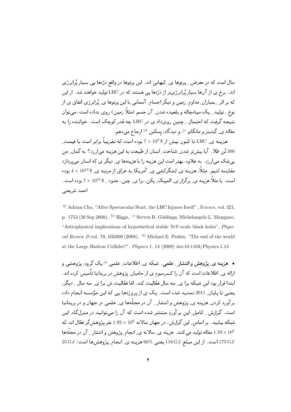$\mathcal{L} \subset \mathcal{L} \subset \mathcal{L} \subset \mathcal{L}$  , we have  $\mathcal{L} \subset \mathcal{L} \subset \mathcal{L}$  . The set of  $\mathcal{L} \subset \mathcal{L}$ اند. برخ ی از آنها بسیار پُرانرژیتر از دُرّهها یی هستند که در LHC تولید خواهند شد. از این ه از اردی از دولت در از است کا بال است که بر ارد است که در است که است که است که در است که است که در است که است هو ۾ په ويپيا په په چاپ ريسيس، ساون په سام رسيم کريس روي سام، سي اون نتیجه گرفت که احتمال <sub>-</sub> چنین رویداد ی در LHC چه قدر کوچک است. خواننده را به مقاله ي ِ گيدينز و مانگانو <sup>c)</sup>، و ديدگاه ِ پِسكين <sup>d)</sup> ارجاع ميدهم.

هزینه ی ِ LHC تا کنون بیش از \$ 10° x 10 بوده است که تقریبا برابر است با قیمت ِ 300 تُن طلا. ۖ آيا بيش تر شدن ِ شناخت ِ انسان از طبيعت به اين هزينه مي ارزد؟ به گمان ِ من --! ;- =-  +( + ( + 0 48 \$PD \*- 
/ مقایسه کنیم. مثلا، هزینه ی ِ لشگرکشی ی ِ آمریکا به عراق از مرتبه ی ِ \$ 10 $\,\times\,4\times4$  بوده است. یا مثلا هزینه ی ِ برگزار ی ِ المپیک ِ یکن، برا ی ِ چین، حدود ِ \$ 10<sup>10 ×</sup> 7 بوده است. أحمد شريعتي

a) Adrian Cho, "After Spectacular Start, the LHC Injures Itself", *Science*, vol. 321, p. 1753 (26 Sep 2008), b) Higgs, c) Steven B. Giddings, Michelangelo L. Mangano, "Astrophysical implications of hypothetical stable TeV-scale black holes", *Physical Review D* vol. 78, 035009 (2008), d) Michael E. Peskin, "The end of the world at the Large Hadron Collider?", *Physics* 1, 14 (2008) doi:10.1103/Physics.1.14

• هزینه ی ِ پژوهش وانتشار ِ علمی . شبکه ی ِ اطلاعات ِ علمی <sup>۵</sup>) یک گروه ِ پژوهشی و ا ارائه ی ۱٫۵۰۰ تفک ۱٫۵۰۰ تفکر سیوم ی از تخامیهن ایر وسس در بر پیدیه نیس ترده اند. — المستخدم المستخدمات المستخدمات المستخدم المستخدم المستخدم المستخدم المستخدم المستخدم المستخدمات المستخدمة ال یعنی تا پایان ِ 2011 تمدید شده است. یک ی از پروژهها یی که این مؤسسه انجام داده بر اورد کردن کیلئر یک دی کردس و استفار کردن کارکندی کار کنیم از جهان و در بر یک یک است. گزارش به کامل ِ این بر آورد منتشر شده است که آن را می توانید در منزل گاه ِ این شبکه بیابید. بر اساس ِ این گزارش، در جهان سالانه 10<sup>6</sup> × 1.92 نفر پژوهشگر ف**عّ**ال اند که مقاله توليد ميكنند. هزينه ي ِسالانه ي ِ انجام ِ يژوهش و انتشار ـِ آن در مجلهها  $1.59\times 10^6$  $25\,\mathrm{G\ell}$  : است. از این مبلغ  $316\,\mathrm{G\ell}$  یعنی  $6\%$ 6 هزینه ی ِ انجام ِ پژوهش ها است $25\,\mathrm{G\ell}$